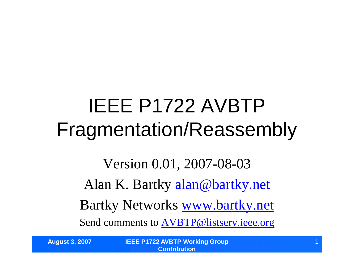### IEEE P1722 AVBTP Fragmentation/Reassembly

Version 0.01, 2007-08-03 Alan K. Bartky alan@bartky.net Bartky Networks www.bartky.net Send comments to AVBTP@listserv.ieee.org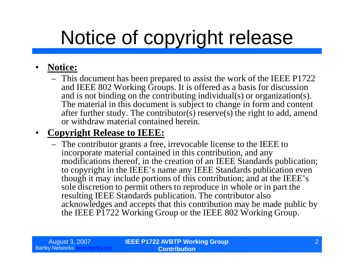## Notice of copyright release

#### • **Notice:**

– This document has been prepared to assist the work of the IEEE P1722 and IEEE 802 Working Groups. It is offered as a basis for discussion and is not binding on the contributing individual(s) or organization(s). The material in this document is subject to change in form and content after further study. The contributor(s) reserve(s) the right to add, amend or withdraw material contained herein.

#### • **Copyright Release to IEEE:**

– The contributor grants a free, irrevocable license to the IEEE to incorporate material contained in this contribution, and any modifications thereof, in the creation of an IEEE Standards publication; to copyright in the IEEE's name any IEEE Standards publication even though it may include portions of this contribution; and at the IEEE's sole discretion to permit others to reproduce in whole or in part the resulting IEEE Standards publication. The contributor also acknowledges and accepts that this contribution may be made public by the IEEE P1722 Working Group or the IEEE 802 Working Group.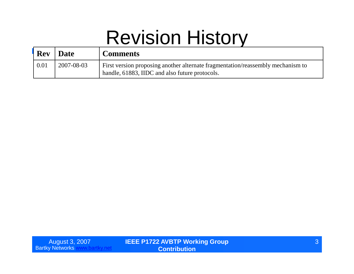#### Revision History

| <b>Rev</b> | ' Date     | <b>Comments</b>                                                                                                                   |
|------------|------------|-----------------------------------------------------------------------------------------------------------------------------------|
| 0.01       | 2007-08-03 | First version proposing another alternate fragmentation/reassembly mechanism to<br>handle, 61883, IIDC and also future protocols. |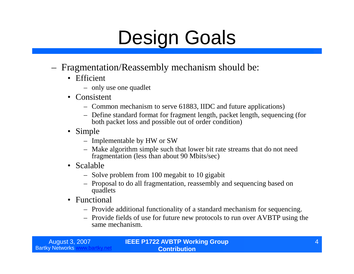### Design Goals

- Fragmentation/Reassembly mechanism should be:
	- Efficient
		- only use one quadlet
	- Consistent
		- Common mechanism to serve 61883, IIDC and future applications)
		- Define standard format for fragment length, packet length, sequencing (for both packet loss and possible out of order condition)
	- Simple
		- Implementable by HW or SW
		- Make algorithm simple such that lower bit rate streams that do not need fragmentation (less than about 90 Mbits/sec)
	- Scalable
		- Solve problem from 100 megabit to 10 gigabit
		- Proposal to do all fragmentation, reassembly and sequencing based on quadlets
	- Functional
		- Provide additional functionality of a standard mechanism for sequencing.
		- Provide fields of use for future new protocols to run over AVBTP using the same mechanism.

| August 3, 2007         |  |
|------------------------|--|
| <b>Bartky Networks</b> |  |

**IEEE P1722 AVBTP Working Group Contribution**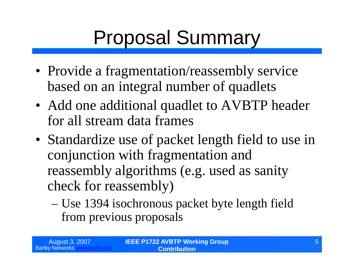## Proposal Summary

- Provide a fragmentation/reassembly service based on an integral number of quadlets
- Add one additional quadlet to AVBTP header for all stream data frames
- Standardize use of packet length field to use in conjunction with fragmentation and reassembly algorithms (e.g. used as sanity check for reassembly)
	- –Use 1394 isochronous packet byte length field from previous proposals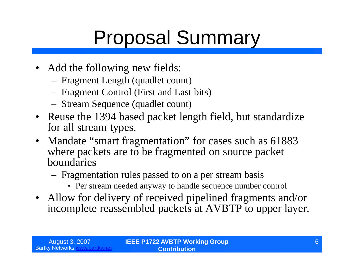## Proposal Summary

- Add the following new fields:
	- Fragment Length (quadlet count)
	- Fragment Control (First and Last bits)
	- Stream Sequence (quadlet count)
- Reuse the 1394 based packet length field, but standardize for all stream types.
- Mandate "smart fragmentation" for cases such as 61883 where packets are to be fragmented on source packet boundaries
	- Fragmentation rules passed to on a per stream basis
		- Per stream needed anyway to handle sequence number control
- Allow for delivery of received pipelined fragments and/or incomplete reassembled packets at AVBTP to upper layer.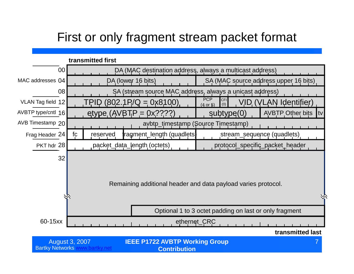#### First or only fragment stream packet format

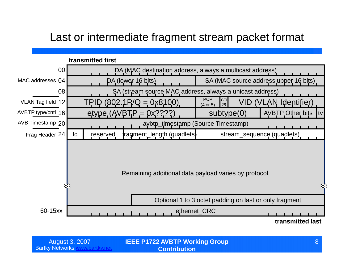#### Last or intermediate fragment stream packet format



| August 3, 2007 | <b>IEEE P1722 AVBTP Working Group</b> |  |
|----------------|---------------------------------------|--|
| v Networks ∖   | <b>Contribution</b>                   |  |

**Bartky Networks www.**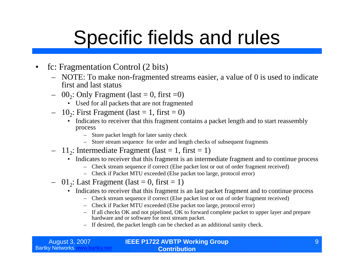- fc: Fragmentation Control (2 bits)
	- NOTE: To make non-fragmented streams easier, a value of 0 is used to indicate first and last status
	- $-$  00<sub>2</sub>: Only Fragment (last  $=$  0, first  $=$  0)
		- Used for all packets that are not fragmented
	- $-10_2$ : First Fragment (last = 1, first = 0)
		- Indicates to receiver that this fragment contains a packet length and to start reassembly process
			- Store packet length for later sanity check
			- Store stream sequence for order and length checks of subsequent fragments
	- $-11_2$ : Intermediate Fragment (last = 1, first = 1)
		- Indicates to receiver that this fragment is an intermediate fragment and to continue process
			- Check stream sequence if correct (Else packet lost or out of order fragment received)
			- Check if Packet MTU exceeded (Else packet too large, protocol error)
	- $-01_2$ : Last Fragment (last = 0, first = 1)
		- Indicates to receiver that this fragment is an last packet fragment and to continue process
			- Check stream sequence if correct (Else packet lost or out of order fragment received)
			- Check if Packet MTU exceeded (Else packet too large, protocol error)
			- If all checks OK and not pipelined, OK to forward complete packet to upper layer and prepare hardware and or software for next stream packet.
			- If desired, the packet length can be checked as an additional sanity check.

| August 3, 2007 <sub> </sub> | <b>IEEE P1722 AVBTP Working Group</b> |  |
|-----------------------------|---------------------------------------|--|
| <b>Bartky Networks w</b>    | <b>Contribution</b>                   |  |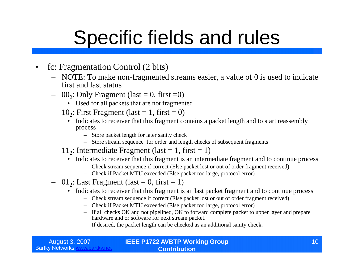- fc: Fragmentation Control (2 bits)
	- NOTE: To make non-fragmented streams easier, a value of 0 is used to indicate first and last status
	- $-$  00<sub>2</sub>: Only Fragment (last  $=$  0, first  $=$  0)
		- Used for all packets that are not fragmented
	- $-10_2$ : First Fragment (last = 1, first = 0)
		- Indicates to receiver that this fragment contains a packet length and to start reassembly process
			- Store packet length for later sanity check
			- Store stream sequence for order and length checks of subsequent fragments
	- $-11_2$ : Intermediate Fragment (last = 1, first = 1)
		- Indicates to receiver that this fragment is an intermediate fragment and to continue process
			- Check stream sequence if correct (Else packet lost or out of order fragment received)
			- Check if Packet MTU exceeded (Else packet too large, protocol error)
	- $-01_2$ : Last Fragment (last = 0, first = 1)
		- Indicates to receiver that this fragment is an last packet fragment and to continue process
			- Check stream sequence if correct (Else packet lost or out of order fragment received)
			- Check if Packet MTU exceeded (Else packet too large, protocol error)
			- If all checks OK and not pipelined, OK to forward complete packet to upper layer and prepare hardware and or software for next stream packet.
			- If desired, the packet length can be checked as an additional sanity check.

| August 3, 2007           | <b>IEEE P1722 AVBTP Working Group</b> |  |
|--------------------------|---------------------------------------|--|
| <b>Bartky Networks w</b> | <b>Contribution</b>                   |  |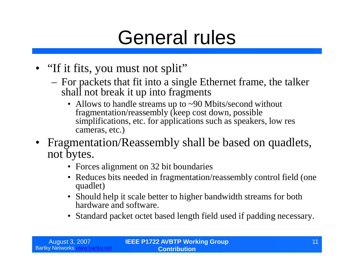#### General rules

- "If it fits, you must not split"
	- For packets that fit into a single Ethernet frame, the talker shall not break it up into fragments
		- Allows to handle streams up to ~90 Mbits/second without fragmentation/reassembly (keep cost down, possible simplifications, etc. for applications such as speakers, low res cameras, etc.)
- Fragmentation/Reassembly shall be based on quadlets, not bytes.
	- Forces alignment on 32 bit boundaries
	- Reduces bits needed in fragmentation/reassembly control field (one) quadlet)
	- Should help it scale better to higher bandwidth streams for both hardware and software.
	- Standard packet octet based length field used if padding necessary.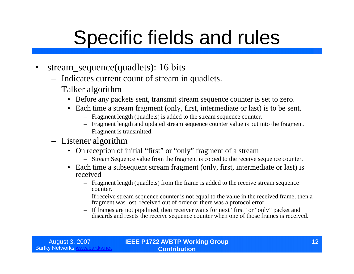- stream\_sequence(quadlets): 16 bits
	- Indicates current count of stream in quadlets.
	- Talker algorithm
		- Before any packets sent, transmit stream sequence counter is set to zero.
		- Each time a stream fragment (only, first, intermediate or last) is to be sent.
			- Fragment length (quadlets) is added to the stream sequence counter.
			- Fragment length and updated stream sequence counter value is put into the fragment.
			- Fragment is transmitted.

#### – Listener algorithm

- On reception of initial "first" or "only" fragment of a stream
	- Stream Sequence value from the fragment is copied to the receive sequence counter.
- Each time a subsequent stream fragment (only, first, intermediate or last) is received
	- Fragment length (quadlets) from the frame is added to the receive stream sequence counter.
	- If receive stream sequence counter is not equal to the value in the received frame, then a fragment was lost, received out of order or there was a protocol error.
	- If frames are not pipelined, then receiver waits for next "first"or "only"packet and discards and resets the receive sequence counter when one of those frames is received.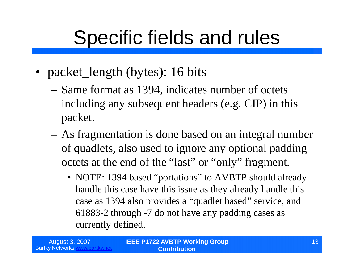- packet\_length (bytes): 16 bits
	- –Same format as 1394, indicates number of octets including any subsequent headers (e.g. CIP) in this packet.
	- –As fragmentation is done based on an integral number of quadlets, also used to ignore any optional padding octets at the end of the "last" or "only" fragment.
		- NOTE: 1394 based "portations" to AVBTP should already handle this case have this issue as they already handle this case as 1394 also provides a "quadlet based" service, and 61883-2 through -7 do not have any padding cases as currently defined.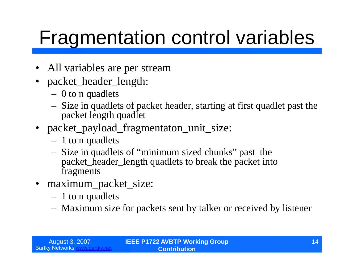### Fragmentation control variables

- All variables are per stream
- packet\_header\_length:
	- 0 to n quadlets
	- Size in quadlets of packet header, starting at first quadlet past the packet length quadlet
- packet\_payload\_fragmentaton\_unit\_size:
	- 1 to n quadlets
	- Size in quadlets of "minimum sized chunks"past the packet\_header\_length quadlets to break the packet into fragments
- maximum\_packet\_size:
	- 1 to n quadlets
	- Maximum size for packets sent by talker or received by listener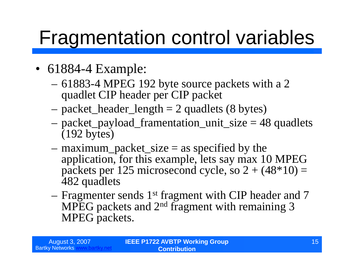### Fragmentation control variables

- 61884-4 Example:
	- –61883-4 MPEG 192 byte source packets with a 2 quadlet CIP header per CIP packet
	- $-$  packet\_header\_length  $= 2$  quadlets (8 bytes)
	- –packet\_payload\_framentation\_unit\_size = 48 quadlets (192 bytes)
	- $-$  maximum\_packet\_size  $=$  as specified by the application, for this example, lets say max 10 MPEG packets per 125 microsecond cycle, so  $2 + (48*10) =$ 482 quadlets
	- –Fragmenter sends 1st fragment with CIP header and 7 MPEG packets and 2nd fragment with remaining 3 MPEG packets.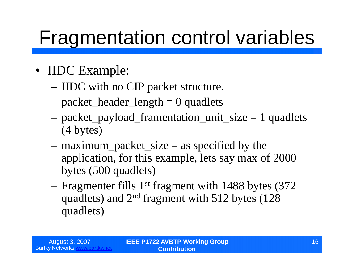### Fragmentation control variables

- IIDC Example:
	- –IIDC with no CIP packet structure.
	- $-$  packet\_header\_length  $= 0$  quadlets
	- –packet\_payload\_framentation\_unit\_size = 1 quadlets (4 bytes)
	- $-$  maximum\_packet\_size  $=$  as specified by the application, for this example, lets say max of 2000 bytes (500 quadlets)
	- –Fragmenter fills 1st fragment with 1488 bytes (372 quadlets) and 2nd fragment with 512 bytes (128 quadlets)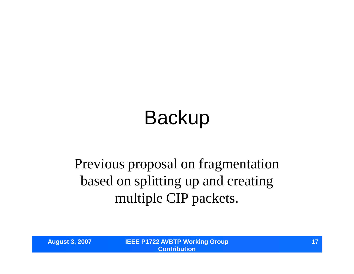# Backup

#### Previous proposal on fragmentation based on splitting up and creating multiple CIP packets.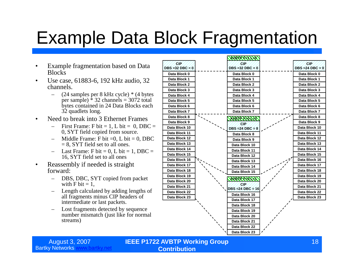#### Example Data Block Fragmentation

- Example fragmentation based on Data **Blocks**
- Use case, 61883-6, 192 kHz audio, 32 channels.
	- (24 samples per 8 kHz cycle) \* (4 bytes per sample)  $\hat{ }$  32 channels = 3072 total bytes contained in 24 Data Blocks each 32 quadlets long.
- Need to break into 3 Ethernet Frames
	- First Frame: F bit = 1, L bit = 0, DBC = 0, SYT field copied from source.
	- Middle Frame: F bit  $=0$ , L bit  $= 0$ , DBC  $= 8$ , SYT field set to all ones.
	- $-$  Last Frame: F bit = 0, L bit = 1, DBC = 16, SYT field set to all ones
- Reassembly if needed is straight forward:
	- DBS, DBC, SYT copied from packet with F bit  $= 1$ .
	- Length calculated by adding lengths of all fragments minus CIP headers of intermediate or last packets.
	- Lost fragments detected by sequence number mismatch (just like for normal streams)



August 3, 2007 **IEEE P1722 AVBTP Working Group Contribution**